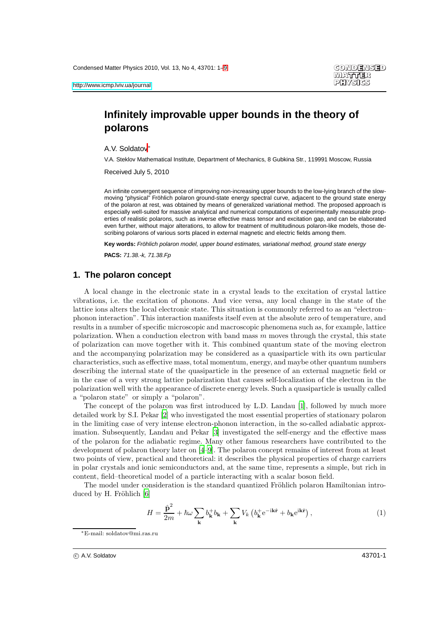# **Infinitely improvable upper bounds in the theory of polarons**

A.V. Soldatov<sup>∗</sup>

V.A. Steklov Mathematical Institute, Department of Mechanics, 8 Gubkina Str., 119991 Moscow, Russia

Received July 5, 2010

An infinite convergent sequence of improving non-increasing upper bounds to the low-lying branch of the slowmoving "physical" Fröhlich polaron ground-state energy spectral curve, adjacent to the ground state energy of the polaron at rest, was obtained by means of generalized variational method. The proposed approach is especially well-suited for massive analytical and numerical computations of experimentally measurable properties of realistic polarons, such as inverse effective mass tensor and excitation gap, and can be elaborated even further, without major alterations, to allow for treatment of multitudinous polaron-like models, those describing polarons of various sorts placed in external magnetic and electric fields among them.

Key words: Fröhlich polaron model, upper bound estimates, variational method, ground state energy

**PACS:** 71.38.-k, 71.38.Fp

### **1. The polaron concept**

A local change in the electronic state in a crystal leads to the excitation of crystal lattice vibrations, i.e. the excitation of phonons. And vice versa, any local change in the state of the lattice ions alters the local electronic state. This situation is commonly referred to as an "electron– phonon interaction". This interaction manifests itself even at the absolute zero of temperature, and results in a number of specific microscopic and macroscopic phenomena such as, for example, lattice polarization. When a conduction electron with band mass  $m$  moves through the crystal, this state of polarization can move together with it. This combined quantum state of the moving electron and the accompanying polarization may be considered as a quasiparticle with its own particular characteristics, such as effective mass, total momentum, energy, and maybe other quantum numbers describing the internal state of the quasiparticle in the presence of an external magnetic field or in the case of a very strong lattice polarization that causes self-localization of the electron in the polarization well with the appearance of discrete energy levels. Such a quasiparticle is usually called a "polaron state" or simply a "polaron".

The concept of the polaron was first introduced by L.D. Landau [\[1\]](#page-7-1), followed by much more detailed work by S.I. Pekar [\[2](#page-7-2)] who investigated the most essential properties of stationary polaron in the limiting case of very intense electron-phonon interaction, in the so-called adiabatic approximation. Subsequently, Landau and Pekar [\[3\]](#page-7-3) investigated the self-energy and the effective mass of the polaron for the adiabatic regime. Many other famous researchers have contributed to the development of polaron theory later on [\[4](#page-7-4)[–9\]](#page-7-5). The polaron concept remains of interest from at least two points of view, practical and theoretical: it describes the physical properties of charge carriers in polar crystals and ionic semiconductors and, at the same time, represents a simple, but rich in content, field–theoretical model of a particle interacting with a scalar boson field.

The model under consideration is the standard quantized Fröhlich polaron Hamiltonian introduced by H. Fröhlich  $[6]$ 

<span id="page-0-0"></span>
$$
H = \frac{\hat{\mathbf{p}}^2}{2m} + \hbar\omega\sum_{\mathbf{k}} b_{\mathbf{k}}^+ b_{\mathbf{k}} + \sum_{\mathbf{k}} V_k \left( b_{\mathbf{k}}^+ e^{-i\mathbf{k}\hat{\mathbf{r}}} + b_{\mathbf{k}} e^{i\mathbf{k}\hat{\mathbf{r}}} \right),\tag{1}
$$

<sup>∗</sup>E-mail: soldatov@mi.ras.ru

c A.V. Soldatov 43701-1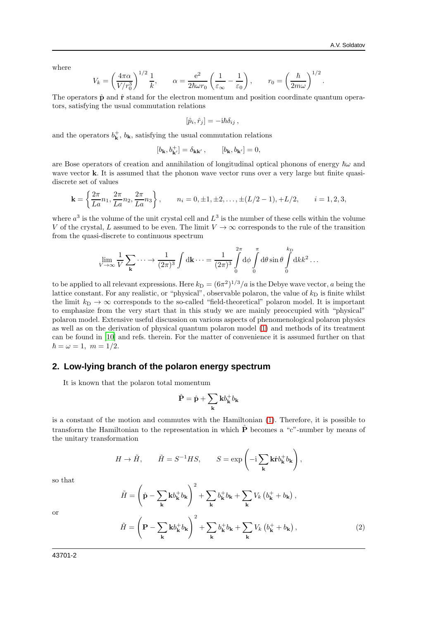.

where

$$
V_k = \left(\frac{4\pi\alpha}{V/r_0^3}\right)^{1/2} \frac{1}{k}, \qquad \alpha = \frac{e^2}{2\hbar\omega r_0} \left(\frac{1}{\varepsilon_\infty} - \frac{1}{\varepsilon_0}\right), \qquad r_0 = \left(\frac{\hbar}{2m\omega}\right)^{1/2}
$$

The operators  $\hat{p}$  and  $\hat{r}$  stand for the electron momentum and position coordinate quantum operators, satisfying the usual commutation relations

$$
[\hat{p}_i, \hat{r}_j] = -i\hbar \delta_{ij} ,
$$

and the operators  $b_{\mathbf{k}}^{+}$ ,  $b_{\mathbf{k}}$ , satisfying the usual commutation relations

$$
[b_{\mathbf{k}}, b^+_{\mathbf{k}'}] = \delta_{\mathbf{k}\mathbf{k}'}, \qquad [b_{\mathbf{k}}, b_{\mathbf{k}'}] = 0,
$$

are Bose operators of creation and annihilation of longitudinal optical phonons of energy  $\hbar\omega$  and wave vector **k**. It is assumed that the phonon wave vector runs over a very large but finite quasidiscrete set of values

$$
\mathbf{k} = \left\{ \frac{2\pi}{La} n_1, \frac{2\pi}{La} n_2, \frac{2\pi}{La} n_3 \right\}, \qquad n_i = 0, \pm 1, \pm 2, \dots, \pm (L/2 - 1), \pm L/2, \qquad i = 1, 2, 3,
$$

where  $a^3$  is the volume of the unit crystal cell and  $L^3$  is the number of these cells within the volume V of the crystal, L assumed to be even. The limit  $V \to \infty$  corresponds to the rule of the transition from the quasi-discrete to continuous spectrum

$$
\lim_{V \to \infty} \frac{1}{V} \sum_{\mathbf{k}} \cdots \to \frac{1}{(2\pi)^3} \int d\mathbf{k} \cdots = \frac{1}{(2\pi)^3} \int_0^{2\pi} d\phi \int_0^{\pi} d\theta \sin \theta \int_0^{k_D} dk k^2 \dots
$$

to be applied to all relevant expressions. Here  $k_D = (6\pi^2)^{1/3}/a$  is the Debye wave vector, a being the lattice constant. For any realistic, or "physical", observable polaron, the value of  $k_D$  is finite whilst the limit  $k_D \rightarrow \infty$  corresponds to the so-called "field-theoretical" polaron model. It is important to emphasize from the very start that in this study we are mainly preoccupied with "physical" polaron model. Extensive useful discussion on various aspects of phenomenological polaron physics as well as on the derivation of physical quantum polaron model [\(1\)](#page-0-0) and methods of its treatment can be found in [\[10\]](#page-8-0) and refs. therein. For the matter of convenience it is assumed further on that  $\hbar = \omega = 1, \; m = 1/2.$ 

# **2. Low-lying branch of the polaron energy spectrum**

It is known that the polaron total momentum

$$
\hat{\mathbf{P}} = \hat{\mathbf{p}} + \sum_{\mathbf{k}} \mathbf{k} b_{\mathbf{k}}^{+} b_{\mathbf{k}}
$$

is a constant of the motion and commutes with the Hamiltonian [\(1\)](#page-0-0). Therefore, it is possible to transform the Hamiltonian to the representation in which  $\hat{P}$  becomes a "c"-number by means of the unitary transformation

$$
H \to \tilde{H}, \qquad \tilde{H} = S^{-1}HS, \qquad S = \exp\left(-i \sum_{\mathbf{k}} \mathbf{k} \hat{r} b_{\mathbf{k}}^{\dagger} b_{\mathbf{k}}\right),
$$

so that

 $\tilde{H}=\left(\right.$  $\hat{\mathbf{p}} - \sum$ k  $\mathbf{k}b^+_{\mathbf{k}}b_{\mathbf{k}}$  $\setminus^2$  $+\sum$ k  $b^+_{\bf k}b_{\bf k}+\sum$ 

or

<span id="page-1-0"></span>
$$
\tilde{H} = \left(\mathbf{P} - \sum_{\mathbf{k}} \mathbf{k} b_{\mathbf{k}}^{+} b_{\mathbf{k}}\right)^{2} + \sum_{\mathbf{k}} b_{\mathbf{k}}^{+} b_{\mathbf{k}} + \sum_{\mathbf{k}} V_{k} \left(b_{\mathbf{k}}^{+} + b_{\mathbf{k}}\right),\tag{2}
$$

k

 $V_k\left(b_{\mathbf{k}}^+ + b_{\mathbf{k}}\right)$ ,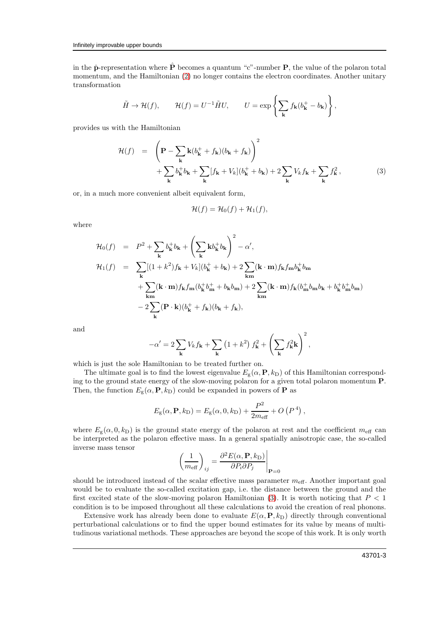in the  $\hat{\mathbf{p}}$ -representation where  $\hat{\mathbf{P}}$  becomes a quantum "c"-number  $\mathbf{P}$ , the value of the polaron total momentum, and the Hamiltonian [\(2\)](#page-1-0) no longer contains the electron coordinates. Another unitary transformation

$$
\tilde{H} \to \mathcal{H}(f), \qquad \mathcal{H}(f) = U^{-1} \tilde{H} U, \qquad U = \exp \left\{ \sum_{\mathbf{k}} f_{\mathbf{k}} (b_{\mathbf{k}}^{+} - b_{\mathbf{k}}) \right\},
$$

provides us with the Hamiltonian

<span id="page-2-0"></span>
$$
\mathcal{H}(f) = \left(\mathbf{P} - \sum_{\mathbf{k}} \mathbf{k}(b_{\mathbf{k}}^{+} + f_{\mathbf{k}})(b_{\mathbf{k}} + f_{\mathbf{k}})\right)^{2} + \sum_{\mathbf{k}} b_{\mathbf{k}}^{+} b_{\mathbf{k}} + \sum_{\mathbf{k}} [f_{\mathbf{k}} + V_{k}](b_{\mathbf{k}}^{+} + b_{\mathbf{k}}) + 2 \sum_{\mathbf{k}} V_{k} f_{\mathbf{k}} + \sum_{\mathbf{k}} f_{\mathbf{k}}^{2},
$$
\n(3)

or, in a much more convenient albeit equivalent form,

$$
\mathcal{H}(f) = \mathcal{H}_0(f) + \mathcal{H}_1(f),
$$

where

$$
\mathcal{H}_0(f) = P^2 + \sum_{\mathbf{k}} b_{\mathbf{k}}^+ b_{\mathbf{k}} + \left(\sum_{\mathbf{k}} \mathbf{k} b_{\mathbf{k}}^+ b_{\mathbf{k}}\right)^2 - \alpha',
$$
  
\n
$$
\mathcal{H}_1(f) = \sum_{\mathbf{k}} [(1 + k^2) f_{\mathbf{k}} + V_k] (b_{\mathbf{k}}^+ + b_{\mathbf{k}}) + 2 \sum_{\mathbf{k}m} (\mathbf{k} \cdot \mathbf{m}) f_{\mathbf{k}} f_{\mathbf{m}} b_{\mathbf{k}}^+ b_{\mathbf{m}} + \sum_{\mathbf{k}m} (\mathbf{k} \cdot \mathbf{m}) f_{\mathbf{k}} f_{\mathbf{m}} (b_{\mathbf{k}}^+ b_{\mathbf{m}}^+ + b_{\mathbf{k}} b_{\mathbf{m}}) + 2 \sum_{\mathbf{k}m} (\mathbf{k} \cdot \mathbf{m}) f_{\mathbf{k}} (b_{\mathbf{m}}^+ b_{\mathbf{m}} b_{\mathbf{k}} + b_{\mathbf{k}}^+ b_{\mathbf{m}}^+ b_{\mathbf{m}})
$$
  
\n
$$
- 2 \sum_{\mathbf{k}} (\mathbf{P} \cdot \mathbf{k}) (b_{\mathbf{k}}^+ + f_{\mathbf{k}}) (b_{\mathbf{k}} + f_{\mathbf{k}}),
$$

and

$$
-\alpha' = 2\sum_{\mathbf{k}} V_k f_{\mathbf{k}} + \sum_{\mathbf{k}} \left(1 + k^2\right) f_{\mathbf{k}}^2 + \left(\sum_{\mathbf{k}} f_{\mathbf{k}}^2 \mathbf{k}\right)^2,
$$

which is just the sole Hamiltonian to be treated further on.

The ultimate goal is to find the lowest eigenvalue  $E_{g}(\alpha, \mathbf{P}, k_{\text{D}})$  of this Hamiltonian corresponding to the ground state energy of the slow-moving polaron for a given total polaron momentum P. Then, the function  $E_{\rm g}(\alpha, {\bf P}, k_{\rm D})$  could be expanded in powers of **P** as

$$
E_{\rm g}(\alpha, \mathbf{P}, k_{\rm D}) = E_{\rm g}(\alpha, 0, k_{\rm D}) + \frac{P^2}{2m_{\rm eff}} + O\left(P^4\right),
$$

where  $E_g(\alpha, 0, k_D)$  is the ground state energy of the polaron at rest and the coefficient  $m_{\text{eff}}$  can be interpreted as the polaron effective mass. In a general spatially anisotropic case, the so-called inverse mass tensor

$$
\left(\frac{1}{m_{\text{eff}}}\right)_{ij} = \frac{\partial^2 E(\alpha, \mathbf{P}, k_{\text{D}})}{\partial P_i \partial P_j}\Bigg|_{\mathbf{P} = 0}
$$

should be introduced instead of the scalar effective mass parameter  $m_{\text{eff}}$ . Another important goal would be to evaluate the so-called excitation gap, i.e. the distance between the ground and the first excited state of the slow-moving polaron Hamiltonian  $(3)$ . It is worth noticing that  $P < 1$ condition is to be imposed throughout all these calculations to avoid the creation of real phonons.

Extensive work has already been done to evaluate  $E(\alpha, \mathbf{P}, k_D)$  directly through conventional perturbational calculations or to find the upper bound estimates for its value by means of multitudinous variational methods. These approaches are beyond the scope of this work. It is only worth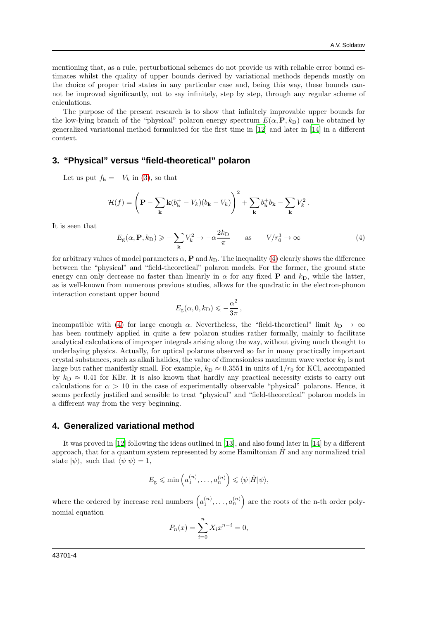mentioning that, as a rule, perturbational schemes do not provide us with reliable error bound estimates whilst the quality of upper bounds derived by variational methods depends mostly on the choice of proper trial states in any particular case and, being this way, these bounds cannot be improved significantly, not to say infinitely, step by step, through any regular scheme of calculations.

The purpose of the present research is to show that infinitely improvable upper bounds for the low-lying branch of the "physical" polaron energy spectrum  $E(\alpha, \mathbf{P}, k_D)$  can be obtained by generalized variational method formulated for the first time in [\[12\]](#page-8-1) and later in [\[14\]](#page-8-2) in a different context.

# **3. "Physical" versus "field-theoretical" polaron**

Let us put  $f_{\mathbf{k}} = -V_k$  in [\(3\)](#page-2-0), so that

$$
\mathcal{H}(f) = \left(\mathbf{P} - \sum_{\mathbf{k}} \mathbf{k}(b_{\mathbf{k}}^+ - V_k)(b_{\mathbf{k}} - V_k)\right)^2 + \sum_{\mathbf{k}} b_{\mathbf{k}}^+ b_{\mathbf{k}} - \sum_{\mathbf{k}} V_k^2.
$$

It is seen that

<span id="page-3-0"></span>
$$
E_{\rm g}(\alpha, \mathbf{P}, k_{\rm D}) \geqslant -\sum_{\mathbf{k}} V_{k}^{2} \to -\alpha \frac{2k_{\rm D}}{\pi} \qquad \text{as} \qquad V/r_{0}^{3} \to \infty \tag{4}
$$

for arbitrary values of model parameters  $\alpha$ , **P** and  $k_D$ . The inequality [\(4\)](#page-3-0) clearly shows the difference between the "physical" and "field-theoretical" polaron models. For the former, the ground state energy can only decrease no faster than linearly in  $\alpha$  for any fixed **P** and  $k_{\text{D}}$ , while the latter, as is well-known from numerous previous studies, allows for the quadratic in the electron-phonon interaction constant upper bound

$$
E_{\rm g}(\alpha,0,k_{\rm D})\leqslant-\frac{\alpha^2}{3\pi}\,,
$$

incompatible with [\(4\)](#page-3-0) for large enough  $\alpha$ . Nevertheless, the "field-theoretical" limit  $k_D \rightarrow \infty$ has been routinely applied in quite a few polaron studies rather formally, mainly to facilitate analytical calculations of improper integrals arising along the way, without giving much thought to underlaying physics. Actually, for optical polarons observed so far in many practically important crystal substances, such as alkali halides, the value of dimensionless maximum wave vector  $k_D$  is not large but rather manifestly small. For example,  $k_D \approx 0.3551$  in units of  $1/r_0$  for KCl, accompanied by  $k_D \approx 0.41$  for KBr. It is also known that hardly any practical necessity exists to carry out calculations for  $\alpha > 10$  in the case of experimentally observable "physical" polarons. Hence, it seems perfectly justified and sensible to treat "physical" and "field-theoretical" polaron models in a different way from the very beginning.

#### **4. Generalized variational method**

It was proved in [\[12\]](#page-8-1) following the ideas outlined in [\[13\]](#page-8-3), and also found later in [\[14\]](#page-8-2) by a different approach, that for a quantum system represented by some Hamiltonian  $\hat{H}$  and any normalized trial state  $|\psi\rangle$ , such that  $\langle \psi | \psi \rangle = 1$ ,

$$
E_{\rm g} \leqslant \min\left(a_1^{(n)},\ldots,a_n^{(n)}\right) \leqslant \langle \psi | \hat{H} | \psi \rangle,
$$

where the ordered by increase real numbers  $\left(a_1^{(n)}, \ldots, a_n^{(n)}\right)$  are the roots of the n-th order polynomial equation

$$
P_n(x) = \sum_{i=0}^{n} X_i x^{n-i} = 0,
$$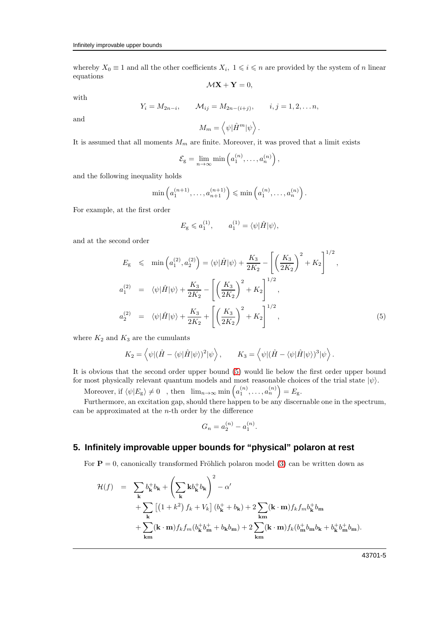whereby  $X_0 \equiv 1$  and all the other coefficients  $X_i$ ,  $1 \leq i \leq n$  are provided by the system of n linear equations  $\mathcal{M} \mathbf{X} + \mathbf{Y} = 0$ ,

with

$$
Y_i = M_{2n-i},
$$
  $M_{ij} = M_{2n-(i+j)},$   $i, j = 1, 2, ... n,$ 

and

$$
M_m = \left\langle \psi | \hat{H}^m | \psi \right\rangle.
$$

It is assumed that all moments  $M_m$  are finite. Moreover, it was proved that a limit exists

$$
\mathcal{E}_{g} = \lim_{n \to \infty} \min \left( a_1^{(n)}, \dots, a_n^{(n)} \right),
$$

and the following inequality holds

$$
\min\left(a_1^{(n+1)},\ldots,a_{n+1}^{(n+1)}\right)\leqslant \min\left(a_1^{(n)},\ldots,a_n^{(n)}\right).
$$

For example, at the first order

$$
E_{\rm g} \leqslant a_1^{(1)}, \qquad a_1^{(1)} = \langle \psi | \hat{H} | \psi \rangle, \label{eq:es}
$$

and at the second order

<span id="page-4-0"></span>
$$
E_{\rm g} \leqslant \min\left(a_1^{(2)}, a_2^{(2)}\right) = \langle \psi | \hat{H} | \psi \rangle + \frac{K_3}{2K_2} - \left[ \left(\frac{K_3}{2K_2}\right)^2 + K_2 \right]^{1/2},
$$
  
\n
$$
a_1^{(2)} = \langle \psi | \hat{H} | \psi \rangle + \frac{K_3}{2K_2} - \left[ \left(\frac{K_3}{2K_2}\right)^2 + K_2 \right]^{1/2},
$$
  
\n
$$
a_2^{(2)} = \langle \psi | \hat{H} | \psi \rangle + \frac{K_3}{2K_2} + \left[ \left(\frac{K_3}{2K_2}\right)^2 + K_2 \right]^{1/2},
$$
\n(5)

where  $K_2$  and  $K_3$  are the cumulants

$$
K_2 = \left\langle \psi | (\hat{H} - \langle \psi | \hat{H} | \psi \rangle)^2 | \psi \right\rangle, \qquad K_3 = \left\langle \psi | (\hat{H} - \langle \psi | \hat{H} | \psi \rangle)^3 | \psi \right\rangle.
$$

It is obvious that the second order upper bound [\(5\)](#page-4-0) would lie below the first order upper bound for most physically relevant quantum models and most reasonable choices of the trial state  $|\psi\rangle$ .

Moreover, if  $\langle \psi | E_{\text{g}} \rangle \neq 0$ , then  $\lim_{n \to \infty} \min \left( a_1^{(n)}, \dots, a_n^{(n)} \right) = E_{\text{g}}$ .

Furthermore, an excitation gap, should there happen to be any discernable one in the spectrum, can be approximated at the  $n$ -th order by the difference

$$
G_n = a_2^{(n)} - a_1^{(n)}.
$$

# **5. Infinitely improvable upper bounds for "physical" polaron at rest**

For  $P = 0$ , canonically transformed Fröhlich polaron model [\(3\)](#page-2-0) can be written down as

$$
\mathcal{H}(f) = \sum_{\mathbf{k}} b_{\mathbf{k}}^{+} b_{\mathbf{k}} + \left(\sum_{\mathbf{k}} \mathbf{k} b_{\mathbf{k}}^{+} b_{\mathbf{k}}\right)^{2} - \alpha'
$$
  
+ 
$$
\sum_{\mathbf{k}} \left[ (1 + k^{2}) f_{k} + V_{k} \right] (b_{\mathbf{k}}^{+} + b_{\mathbf{k}}) + 2 \sum_{\mathbf{k} m} (\mathbf{k} \cdot \mathbf{m}) f_{k} f_{m} b_{\mathbf{k}}^{+} b_{\mathbf{m}}
$$
  
+ 
$$
\sum_{\mathbf{k} m} (\mathbf{k} \cdot \mathbf{m}) f_{k} f_{m} (b_{\mathbf{k}}^{+} b_{\mathbf{m}}^{+} + b_{\mathbf{k}} b_{\mathbf{m}}) + 2 \sum_{\mathbf{k} m} (\mathbf{k} \cdot \mathbf{m}) f_{k} (b_{\mathbf{m}}^{+} b_{\mathbf{m}} b_{\mathbf{k}} + b_{\mathbf{k}}^{+} b_{\mathbf{m}}^{+} b_{\mathbf{m}}).
$$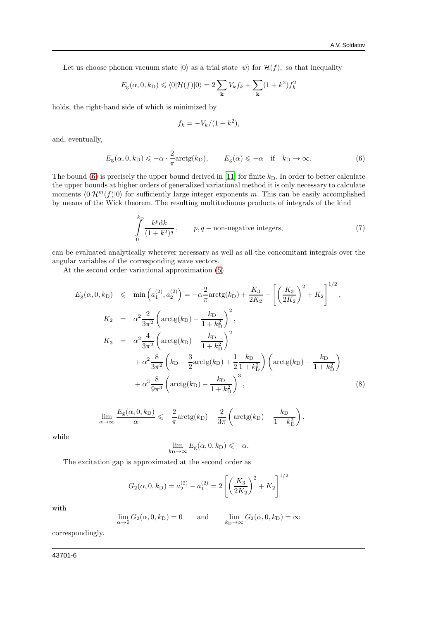Let us choose phonon vacuum state  $|0\rangle$  as a trial state  $|\psi\rangle$  for  $\mathcal{H}(f)$ , so that inequality

$$
E_{\rm g}(\alpha,0,k_{\rm D})\leqslant\langle0|\mathcal{H}(f)|0\rangle=2\sum_{\bf k}V_{k}f_{k}+\sum_{\bf k}(1+k^{2})f_{k}^{2}
$$

holds, the right-hand side of which is minimized by

$$
f_k = -V_k/(1+k^2),
$$

and, eventually,

<span id="page-5-0"></span>
$$
E_{\rm g}(\alpha,0,k_{\rm D}) \leqslant -\alpha \cdot \frac{2}{\pi} \arctg(k_{\rm D}), \qquad E_{\rm g}(\alpha) \leqslant -\alpha \quad \text{if} \quad k_{\rm D} \to \infty. \tag{6}
$$

The bound [\(6\)](#page-5-0) is precisely the upper bound derived in [\[11](#page-8-4)] for finite  $k_D$ . In order to better calculate the upper bounds at higher orders of generalized variational method it is only necessary to calculate moments  $\langle 0|\mathcal{H}^m(f)|0\rangle$  for sufficiently large integer exponents m. This can be easily accomplished by means of the Wick theorem. The resulting multitudinous products of integrals of the kind

<span id="page-5-1"></span>
$$
\int_{0}^{k} \frac{k^p dk}{(1+k^2)^q}, \qquad p, q-\text{non-negative integers}, \tag{7}
$$

can be evaluated analytically wherever necessary as well as all the concomitant integrals over the angular variables of the corresponding wave vectors.

At the second order variational approximation [\(5\)](#page-4-0)

kD

<span id="page-5-2"></span>
$$
E_{\rm g}(\alpha, 0, k_{\rm D}) \leq \min\left(a_{1}^{(2)}, a_{2}^{(2)}\right) = -\alpha \frac{2}{\pi} \arctg(k_{\rm D}) + \frac{K_{3}}{2K_{2}} - \left[\left(\frac{K_{3}}{2K_{2}}\right)^{2} + K_{2}\right]^{1/2},
$$
  
\n
$$
K_{2} = \alpha^{2} \frac{2}{3\pi^{2}} \left(\arctg(k_{\rm D}) - \frac{k_{\rm D}}{1 + k_{\rm D}^{2}}\right)^{2},
$$
  
\n
$$
K_{3} = \alpha^{2} \frac{4}{3\pi^{2}} \left(\arctg(k_{\rm D}) - \frac{k_{\rm D}}{1 + k_{\rm D}^{2}}\right)^{2} + \alpha^{2} \frac{8}{3\pi^{2}} \left(k_{\rm D} - \frac{3}{2}\arctg(k_{\rm D}) + \frac{1}{2}\frac{k_{\rm D}}{1 + k_{\rm D}^{2}}\right) \left(\arctg(k_{\rm D}) - \frac{k_{\rm D}}{1 + k_{\rm D}^{2}}\right)
$$
  
\n
$$
+ \alpha^{3} \frac{8}{9\pi^{3}} \left(\arctg(k_{\rm D}) - \frac{k_{\rm D}}{1 + k_{\rm D}^{2}}\right)^{3},
$$
\n(8)

$$
\lim_{\alpha \to \infty} \frac{E_{\rm g}(\alpha, 0, k_{\rm D})}{\alpha} \leqslant -\frac{2}{\pi} \arctg(k_{\rm D}) - \frac{2}{3\pi} \left( \arctg(k_{\rm D}) - \frac{k_{\rm D}}{1 + k_{\rm D}^2} \right),
$$

while

$$
\lim_{k_{\text{D}} \to \infty} E_{\text{g}}(\alpha, 0, k_{\text{D}}) \leq -\alpha.
$$

The excitation gap is approximated at the second order as

$$
G_2(\alpha, 0, k_{\text{D}}) = a_2^{(2)} - a_1^{(2)} = 2\left[\left(\frac{K_3}{2K_2}\right)^2 + K_2\right]^{1/2}
$$

with

$$
\lim_{\alpha \to 0} G_2(\alpha, 0, k_{\text{D}}) = 0 \quad \text{and} \quad \lim_{k_{\text{D}} \to \infty} G_2(\alpha, 0, k_{\text{D}}) = \infty
$$

correspondingly.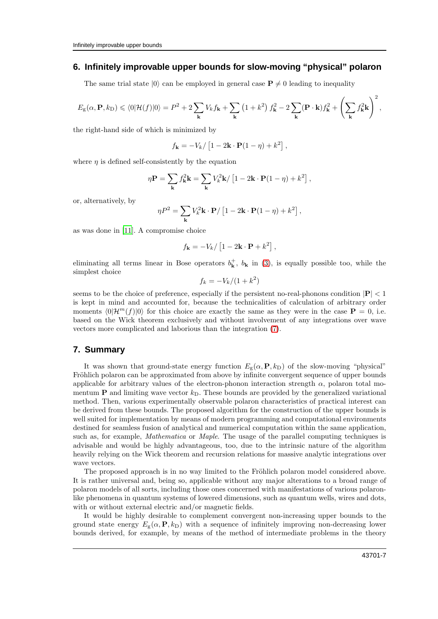#### **6. Infinitely improvable upper bounds for slow-moving "physical" polaron**

The same trial state  $|0\rangle$  can be employed in general case  $P \neq 0$  leading to inequality

$$
E_{\rm g}(\alpha,{\bf P},k_{\rm D})\leqslant \langle 0|\mathcal{H}(f)|0\rangle= P^2+2\sum_{\bf k}V_{k}f_{\bf k}+\sum_{\bf k}\left(1+k^2\right)f_{\bf k}^2-2\sum_{\bf k}({\bf P}\cdot{\bf k})f_{\bf k}^2+\left(\sum_{\bf k}f_{\bf k}^2{\bf k}\right)^2,
$$

the right-hand side of which is minimized by

$$
f_{\mathbf{k}} = -V_k / \left[1 - 2\mathbf{k} \cdot \mathbf{P}(1 - \eta) + k^2\right],
$$

where  $n$  is defined self-consistently by the equation

$$
\eta \mathbf{P} = \sum_{\mathbf{k}} f_{\mathbf{k}}^2 \mathbf{k} = \sum_{\mathbf{k}} V_k^2 \mathbf{k} / \left[ 1 - 2 \mathbf{k} \cdot \mathbf{P} (1 - \eta) + k^2 \right],
$$

or, alternatively, by

$$
\eta P^2 = \sum_{\mathbf{k}} V_k^2 \mathbf{k} \cdot \mathbf{P} / \left[1 - 2 \mathbf{k} \cdot \mathbf{P} (1-\eta) + k^2 \right],
$$

as was done in [\[11\]](#page-8-4). A compromise choice

$$
f_{\mathbf{k}} = -V_k / [1 - 2\mathbf{k} \cdot \mathbf{P} + k^2],
$$

eliminating all terms linear in Bose operators  $b_{\mathbf{k}}^+$ ,  $b_{\mathbf{k}}$  in [\(3\)](#page-2-0), is equally possible too, while the simplest choice

$$
f_k = -V_k/(1+k^2)
$$

seems to be the choice of preference, especially if the persistent no-real-phonons condition  $|\mathbf{P}| < 1$ is kept in mind and accounted for, because the technicalities of calculation of arbitrary order moments  $\langle 0|H^m(f)|0\rangle$  for this choice are exactly the same as they were in the case  $\mathbf{P} = 0$ , i.e. based on the Wick theorem exclusively and without involvement of any integrations over wave vectors more complicated and laborious than the integration [\(7\)](#page-5-1).

# **7. Summary**

It was shown that ground-state energy function  $E_g(\alpha, \mathbf{P}, k_D)$  of the slow-moving "physical" Fröhlich polaron can be approximated from above by infinite convergent sequence of upper bounds applicable for arbitrary values of the electron-phonon interaction strength  $\alpha$ , polaron total momentum **P** and limiting wave vector  $k<sub>D</sub>$ . These bounds are provided by the generalized variational method. Then, various experimentally observable polaron characteristics of practical interest can be derived from these bounds. The proposed algorithm for the construction of the upper bounds is well suited for implementation by means of modern programming and computational environments destined for seamless fusion of analytical and numerical computation within the same application, such as, for example, *Mathematica* or *Maple*. The usage of the parallel computing techniques is advisable and would be highly advantageous, too, due to the intrinsic nature of the algorithm heavily relying on the Wick theorem and recursion relations for massive analytic integrations over wave vectors.

The proposed approach is in no way limited to the Fröhlich polaron model considered above. It is rather universal and, being so, applicable without any major alterations to a broad range of polaron models of all sorts, including those ones concerned with manifestations of various polaronlike phenomena in quantum systems of lowered dimensions, such as quantum wells, wires and dots, with or without external electric and/or magnetic fields.

It would be highly desirable to complement convergent non-increasing upper bounds to the ground state energy  $E_{g}(\alpha, \mathbf{P}, k_{\text{D}})$  with a sequence of infinitely improving non-decreasing lower bounds derived, for example, by means of the method of intermediate problems in the theory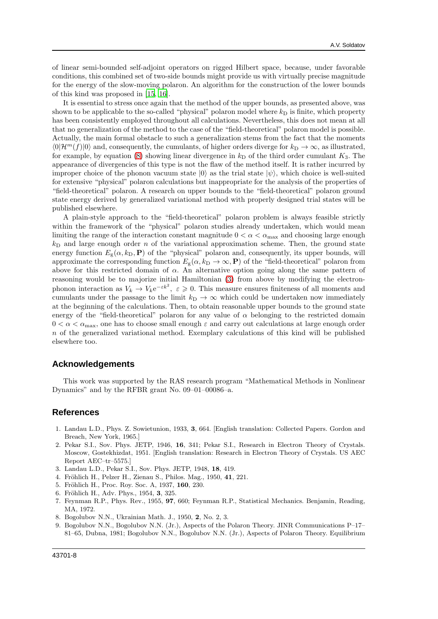of linear semi-bounded self-adjoint operators on rigged Hilbert space, because, under favorable conditions, this combined set of two-side bounds might provide us with virtually precise magnitude for the energy of the slow-moving polaron. An algorithm for the construction of the lower bounds of this kind was proposed in [\[15,](#page-8-5) [16](#page-8-6)].

It is essential to stress once again that the method of the upper bounds, as presented above, was shown to be applicable to the so-called "physical" polaron model where  $k<sub>D</sub>$  is finite, which property has been consistently employed throughout all calculations. Nevertheless, this does not mean at all that no generalization of the method to the case of the "field-theoretical" polaron model is possible. Actually, the main formal obstacle to such a generalization stems from the fact that the moments  $\langle 0|\mathcal{H}^m(f)|0\rangle$  and, consequently, the cumulants, of higher orders diverge for  $k_D \to \infty$ , as illustrated, for example, by equation [\(8\)](#page-5-2) showing linear divergence in  $k<sub>D</sub>$  of the third order cumulant  $K<sub>3</sub>$ . The appearance of divergencies of this type is not the flaw of the method itself. It is rather incurred by improper choice of the phonon vacuum state  $|0\rangle$  as the trial state  $|\psi\rangle$ , which choice is well-suited for extensive "physical" polaron calculations but inappropriate for the analysis of the properties of "field-theoretical" polaron. A research on upper bounds to the "field-theoretical" polaron ground state energy derived by generalized variational method with properly designed trial states will be published elsewhere.

A plain-style approach to the "field-theoretical" polaron problem is always feasible strictly within the framework of the "physical" polaron studies already undertaken, which would mean limiting the range of the interaction constant magnitude  $0 < \alpha < \alpha_{\text{max}}$  and choosing large enough  $k_D$  and large enough order n of the variational approximation scheme. Then, the ground state energy function  $E_{g}(\alpha, k_{D}, P)$  of the "physical" polaron and, consequently, its upper bounds, will approximate the corresponding function  $E_{\rm g}(\alpha, k_{\rm D} \to \infty, {\bf P})$  of the "field-theoretical" polaron from above for this restricted domain of  $\alpha$ . An alternative option going along the same pattern of reasoning would be to majorize initial Hamiltonian [\(3\)](#page-2-0) from above by modifying the electronphonon interaction as  $V_k \to V_k e^{-\varepsilon k^2}$ ,  $\varepsilon \geq 0$ . This measure ensures finiteness of all moments and cumulants under the passage to the limit  $k_D \to \infty$  which could be undertaken now immediately at the beginning of the calculations. Then, to obtain reasonable upper bounds to the ground state energy of the "field-theoretical" polaron for any value of  $\alpha$  belonging to the restricted domain  $0 < \alpha < \alpha_{\text{max}}$ , one has to choose small enough  $\varepsilon$  and carry out calculations at large enough order  $n$  of the generalized variational method. Exemplary calculations of this kind will be published elsewhere too.

#### **Acknowledgements**

This work was supported by the RAS research program "Mathematical Methods in Nonlinear Dynamics" and by the RFBR grant No. 09–01–00086–a.

#### <span id="page-7-0"></span>**References**

- <span id="page-7-1"></span>1. Landau L.D., Phys. Z. Sowietunion, 1933, 3, 664. [English translation: Collected Papers. Gordon and Breach, New York, 1965.]
- <span id="page-7-2"></span>2. Pekar S.I., Sov. Phys. JETP, 1946, 16, 341; Pekar S.I., Research in Electron Theory of Crystals. Moscow, Gostekhizdat, 1951. [English translation: Research in Electron Theory of Crystals. US AEC Report AEC–tr–5575.]
- <span id="page-7-3"></span>3. Landau L.D., Pekar S.I., Sov. Phys. JETP, 1948, 18, 419.
- <span id="page-7-4"></span>4. Fröhlich H., Pelzer H., Zienau S., Philos. Mag., 1950, 41, 221.
- 5. Fröhlich H., Proc. Roy. Soc. A, 1937, 160, 230.
- <span id="page-7-6"></span>6. Fröhlich H., Adv. Phys., 1954, 3, 325.
- 7. Feynman R.P., Phys. Rev., 1955, 97, 660; Feynman R.P., Statistical Mechanics. Benjamin, Reading, MA, 1972.
- 8. Bogolubov N.N., Ukrainian Math. J., 1950, 2, No. 2, 3.
- <span id="page-7-5"></span>9. Bogolubov N.N., Bogolubov N.N. (Jr.), Aspects of the Polaron Theory. JINR Communications P–17– 81–65, Dubna, 1981; Bogolubov N.N., Bogolubov N.N. (Jr.), Aspects of Polaron Theory. Equilibrium